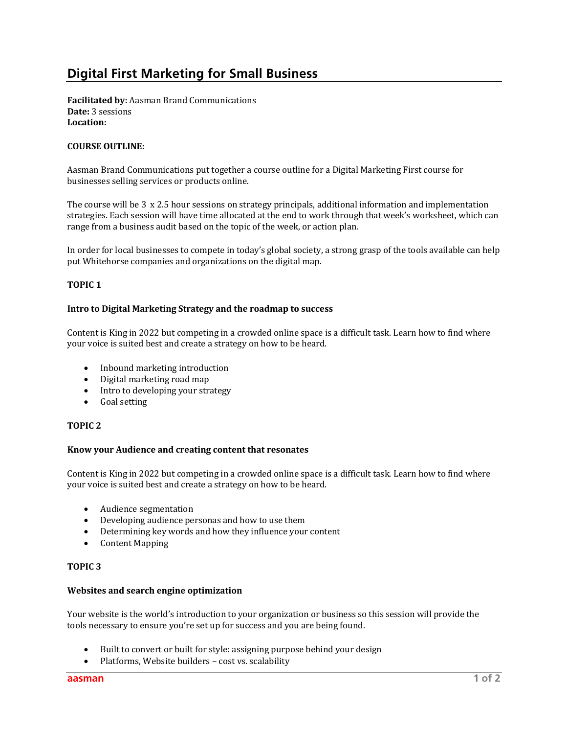# **Digital First Marketing for Small Business**

**Facilitated by:** Aasman Brand Communications **Date:** 3 sessions Location:

# **COURSE OUTLINE:**

Aasman Brand Communications put together a course outline for a Digital Marketing First course for businesses selling services or products online.

The course will be  $3 \times 2.5$  hour sessions on strategy principals, additional information and implementation strategies. Each session will have time allocated at the end to work through that week's worksheet, which can range from a business audit based on the topic of the week, or action plan.

In order for local businesses to compete in today's global society, a strong grasp of the tools available can help put Whitehorse companies and organizations on the digital map.

# **TOPIC 1**

# **Intro to Digital Marketing Strategy and the roadmap to success**

Content is King in 2022 but competing in a crowded online space is a difficult task. Learn how to find where your voice is suited best and create a strategy on how to be heard.

- Inbound marketing introduction
- Digital marketing road map
- Intro to developing your strategy
- Goal setting

# **TOPIC 2**

#### Know your Audience and creating content that resonates

Content is King in 2022 but competing in a crowded online space is a difficult task. Learn how to find where your voice is suited best and create a strategy on how to be heard.

- Audience segmentation
- Developing audience personas and how to use them
- Determining key words and how they influence your content
- Content Mapping

# **TOPIC 3**

#### **Websites and search engine optimization**

Your website is the world's introduction to your organization or business so this session will provide the tools necessary to ensure you're set up for success and you are being found.

- Built to convert or built for style: assigning purpose behind your design
- Platforms, Website builders cost vs. scalability